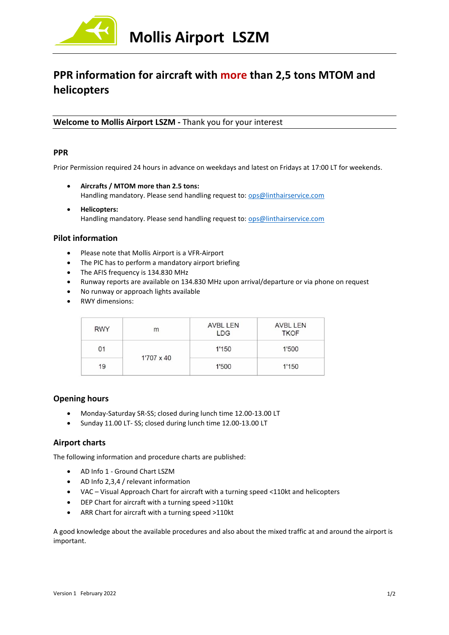

# **PPR information for aircraft with more than 2,5 tons MTOM and helicopters**

**Welcome to Mollis Airport LSZM -** Thank you for your interest

## **PPR**

Prior Permission required 24 hours in advance on weekdays and latest on Fridays at 17:00 LT for weekends.

- **Aircrafts / MTOM more than 2.5 tons:** Handling mandatory. Please send handling request to: [ops@linthairservice.com](mailto:ops@linthairservice.com)
- **Helicopters:** Handling mandatory. Please send handling request to: [ops@linthairservice.com](mailto:ops@linthairservice.com)

## **Pilot information**

- Please note that Mollis Airport is a VFR-Airport
- The PIC has to perform a mandatory airport briefing
- The AFIS frequency is 134.830 MHz
- Runway reports are available on 134.830 MHz upon arrival/departure or via phone on request
- No runway or approach lights available
- RWY dimensions:

| <b>RWY</b> | m          | AVBL LEN<br><b>LDG</b> | <b>AVBL LEN</b><br><b>TKOF</b> |
|------------|------------|------------------------|--------------------------------|
| 01         | 1'707 x 40 | 1'150                  | 1'500                          |
| 19         |            | 1'500                  | 1'150                          |

## **Opening hours**

- Monday-Saturday SR-SS; closed during lunch time 12.00-13.00 LT
- Sunday 11.00 LT- SS; closed during lunch time 12.00-13.00 LT

## **Airport charts**

The following information and procedure charts are published:

- AD Info 1 Ground Chart LSZM
- AD Info 2,3,4 / relevant information
- VAC Visual Approach Chart for aircraft with a turning speed <110kt and helicopters
- DEP Chart for aircraft with a turning speed >110kt
- ARR Chart for aircraft with a turning speed >110kt

A good knowledge about the available procedures and also about the mixed traffic at and around the airport is important.